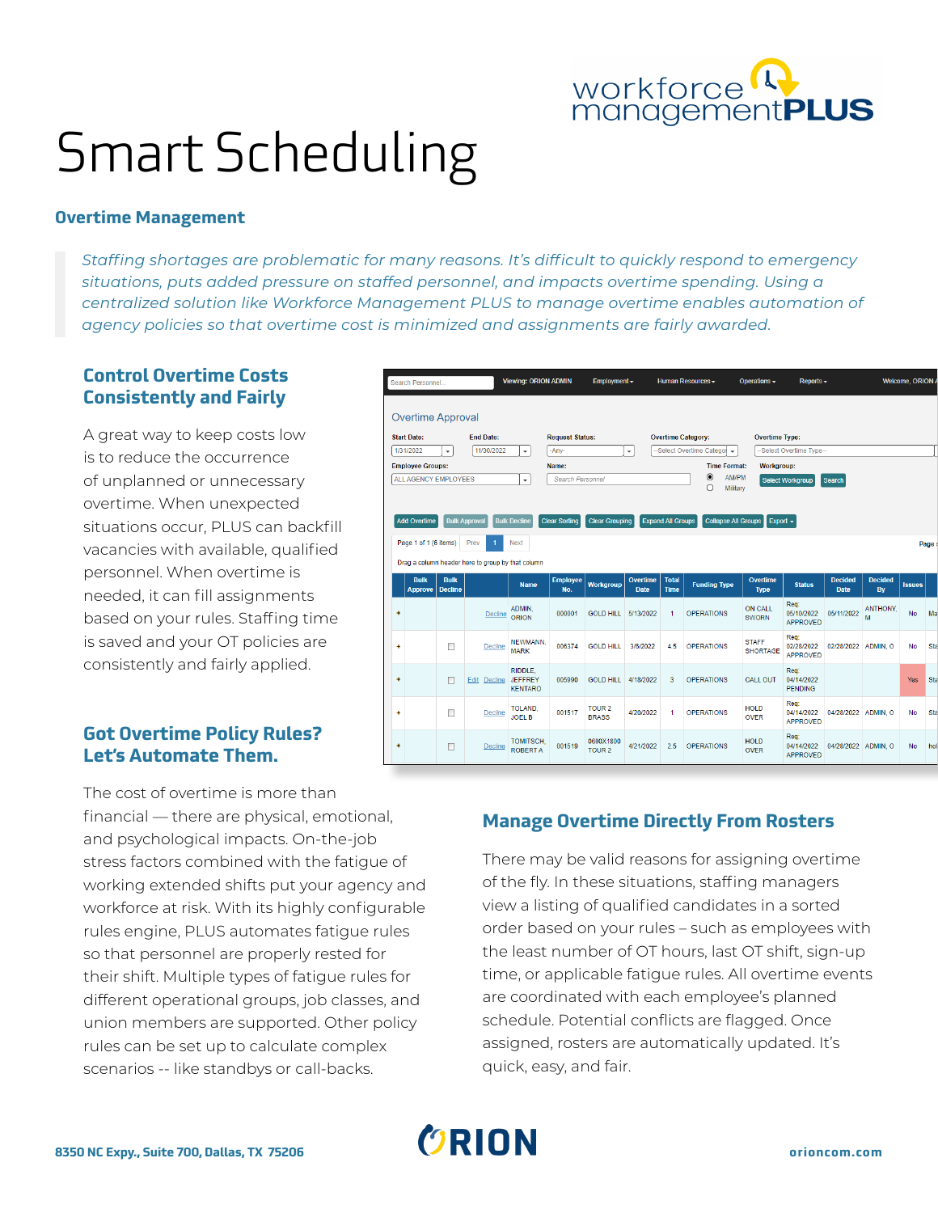

# Smart Scheduling

#### **Overtime Management**

*Staffing shortages are problematic for many reasons. It's difficult to quickly respond to emergency situations, puts added pressure on staffed personnel, and impacts overtime spending. Using a centralized solution like Workforce Management PLUS to manage overtime enables automation of agency policies so that overtime cost is minimized and assignments are fairly awarded.*

## **Control Overtime Costs Consistently and Fairly**

A great way to keep costs low is to reduce the occurrence of unplanned or unnecessary overtime. When unexpected situations occur, PLUS can backfill vacancies with available, qualified personnel. When overtime is needed, it can fill assignments based on your rules. Staffing time is saved and your OT policies are consistently and fairly applied.

## **Got Overtime Policy Rules? Let's Automate Them.**

Viewing: ORION ADMIN Welcome, ORION. arch Personnel **Overtime Approval Start Date: End Date: Overtime Category: Request Status Overtime Type:**  $\overline{\phantom{a}}$ -Select Overtime Categor 1/31/2022  $\boxed{11/30/2022}$   $\rightarrow$  $-Any-$ ारा -Select Overtime Type **Employee Groups: Time Format:** Workgroup: Name:  $\odot$ AM/PM ALL AGENCY EMPLOYEES ╦ Search Personne Select Workgroup Search  $\bigcirc$ Military Add Overtime Bulk Approval Bulk Decline Clear Sorting Clear Grouping Expand All Groups Collapse All Gr Page 1 of 1 (6 items) Prev 1 Next Page Drag a column header here to group by that column Overtim<br>Type **Status Name** Workgroup **Funding Type Issues** Approve Decline n<sub>at</sub> ON CALL Req:<br>05/10/2022 05/11/2022 ANTHONY,<br>APPROVED Decline ADMIN, 000001 GOLD HILL 5/13/2022 OPERATIONS No. **SWORN** APPROVED **NEWMANN STAFF** Decline  $\overline{1}$  $\Box$ 006374 GOLD HILL 3/6/2022  $4.5$ OPERATIONS 02/28/2022 02/28/2022 ADMIN. O **No** SHORTAGE MARK APPROVED **RIDDLE** JEFFREY<br>KENTARO 04/14/2022  $\ddot{\phantom{1}}$  $\Box$ Edit Decline 005990 GOLD HILL 4/18/2022  $\overline{3}$ OPERATIONS CALL OUT PENDING TOUR 2<br>BRASS Req:<br>04/14/2022<br>APPROVED TOLAND HOLD OPERATIONS  $\Box$ 001517 4/20/2022 04/28/2022 ADMIN, O Decline **JOEL B OVER** TOMITSCH<br>ROBERT A HOLD Req:<br>04/14/2022 04/28/2022 ADMIN, O 0600X1800<br>TOUR 2  $\Box$ Decline 001519 4/21/2022 2.5 OPERATIONS No. OVER APPROVED

Human Resources -

Operations -

Reports  $\sim$ 

Employment  $\overline{\phantom{a}}$ 

The cost of overtime is more than financial — there are physical, emotional, and psychological impacts. On-the-job stress factors combined with the fatigue of working extended shifts put your agency and workforce at risk. With its highly configurable rules engine, PLUS automates fatigue rules so that personnel are properly rested for their shift. Multiple types of fatigue rules for different operational groups, job classes, and union members are supported. Other policy rules can be set up to calculate complex scenarios -- like standbys or call-backs.

# **Manage Overtime Directly From Rosters**

There may be valid reasons for assigning overtime of the fly. In these situations, staffing managers view a listing of qualified candidates in a sorted order based on your rules – such as employees with the least number of OT hours, last OT shift, sign-up time, or applicable fatigue rules. All overtime events are coordinated with each employee's planned schedule. Potential conflicts are flagged. Once assigned, rosters are automatically updated. It's quick, easy, and fair.